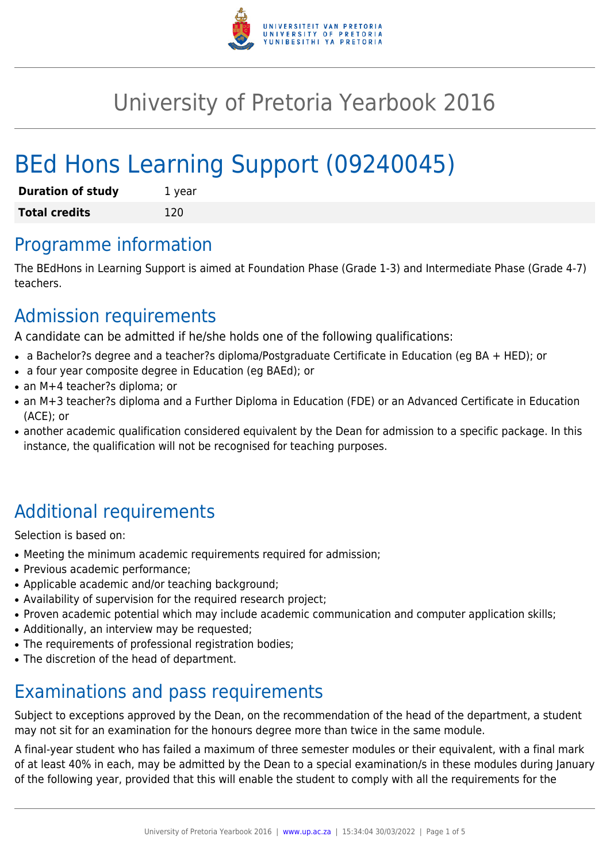

# University of Pretoria Yearbook 2016

# BEd Hons Learning Support (09240045)

| <b>Duration of study</b> | 1 year |
|--------------------------|--------|
| <b>Total credits</b>     | 120    |

# Programme information

The BEdHons in Learning Support is aimed at Foundation Phase (Grade 1-3) and Intermediate Phase (Grade 4-7) teachers.

# Admission requirements

A candidate can be admitted if he/she holds one of the following qualifications:

- a Bachelor?s degree and a teacher?s diploma/Postgraduate Certificate in Education (eg BA + HED); or
- a four year composite degree in Education (eg BAEd); or
- an M+4 teacher?s diploma; or
- an M+3 teacher?s diploma and a Further Diploma in Education (FDE) or an Advanced Certificate in Education (ACE); or
- another academic qualification considered equivalent by the Dean for admission to a specific package. In this instance, the qualification will not be recognised for teaching purposes.

# Additional requirements

Selection is based on:

- Meeting the minimum academic requirements required for admission;
- Previous academic performance:
- Applicable academic and/or teaching background;
- Availability of supervision for the required research project;
- Proven academic potential which may include academic communication and computer application skills;
- Additionally, an interview may be requested;
- The requirements of professional registration bodies;
- The discretion of the head of department.

# Examinations and pass requirements

Subject to exceptions approved by the Dean, on the recommendation of the head of the department, a student may not sit for an examination for the honours degree more than twice in the same module.

A final-year student who has failed a maximum of three semester modules or their equivalent, with a final mark of at least 40% in each, may be admitted by the Dean to a special examination/s in these modules during January of the following year, provided that this will enable the student to comply with all the requirements for the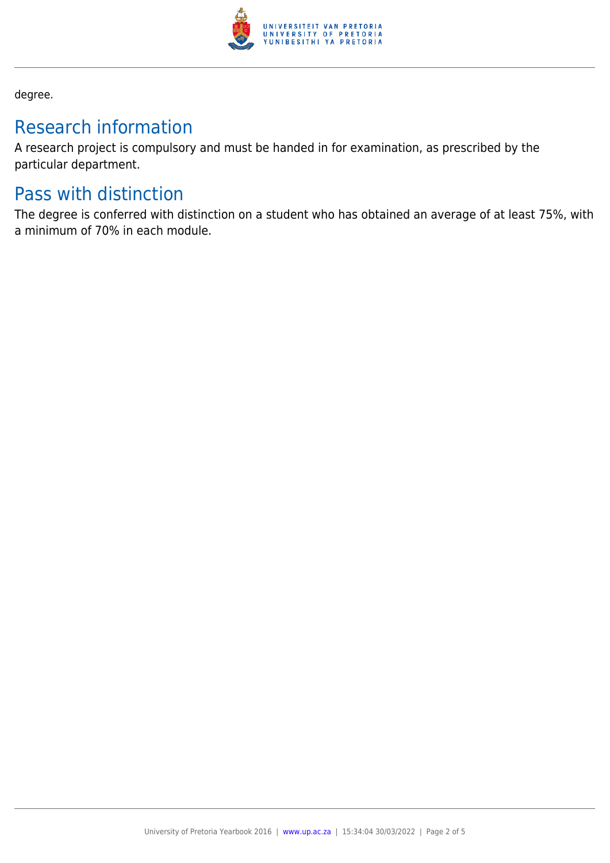

degree.

# Research information

A research project is compulsory and must be handed in for examination, as prescribed by the particular department.

# Pass with distinction

The degree is conferred with distinction on a student who has obtained an average of at least 75%, with a minimum of 70% in each module.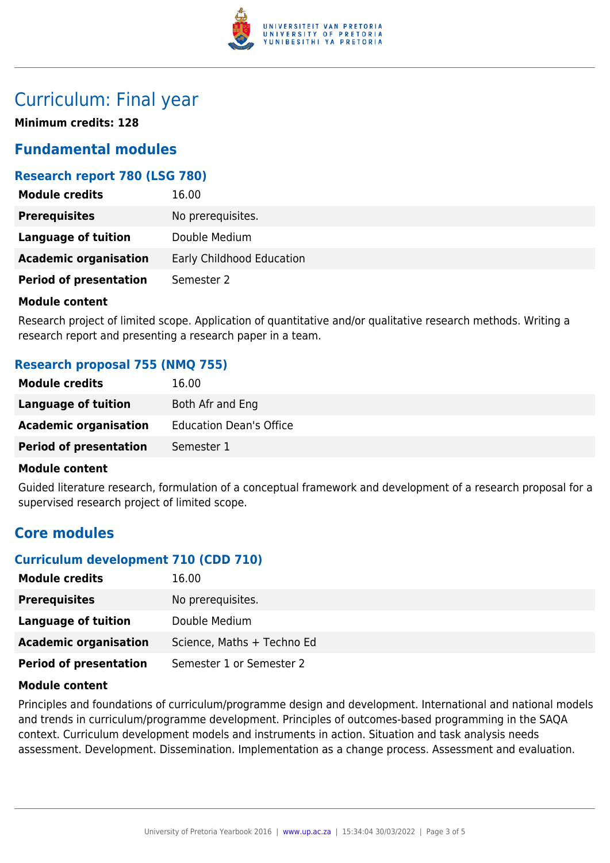

# Curriculum: Final year

**Minimum credits: 128**

# **Fundamental modules**

### **Research report 780 (LSG 780)**

| <b>Module credits</b>         | 16.00                     |
|-------------------------------|---------------------------|
| <b>Prerequisites</b>          | No prerequisites.         |
| Language of tuition           | Double Medium             |
| <b>Academic organisation</b>  | Early Childhood Education |
| <b>Period of presentation</b> | Semester 2                |

#### **Module content**

Research project of limited scope. Application of quantitative and/or qualitative research methods. Writing a research report and presenting a research paper in a team.

### **Research proposal 755 (NMQ 755)**

| <b>Module credits</b>         | 16.00                          |
|-------------------------------|--------------------------------|
| Language of tuition           | Both Afr and Eng               |
| <b>Academic organisation</b>  | <b>Education Dean's Office</b> |
| <b>Period of presentation</b> | Semester 1                     |

#### **Module content**

Guided literature research, formulation of a conceptual framework and development of a research proposal for a supervised research project of limited scope.

# **Core modules**

## **Curriculum development 710 (CDD 710)**

| <b>Module credits</b>         | 16.00                      |
|-------------------------------|----------------------------|
| <b>Prerequisites</b>          | No prerequisites.          |
| Language of tuition           | Double Medium              |
| <b>Academic organisation</b>  | Science, Maths + Techno Ed |
| <b>Period of presentation</b> | Semester 1 or Semester 2   |

### **Module content**

Principles and foundations of curriculum/programme design and development. International and national models and trends in curriculum/programme development. Principles of outcomes-based programming in the SAQA context. Curriculum development models and instruments in action. Situation and task analysis needs assessment. Development. Dissemination. Implementation as a change process. Assessment and evaluation.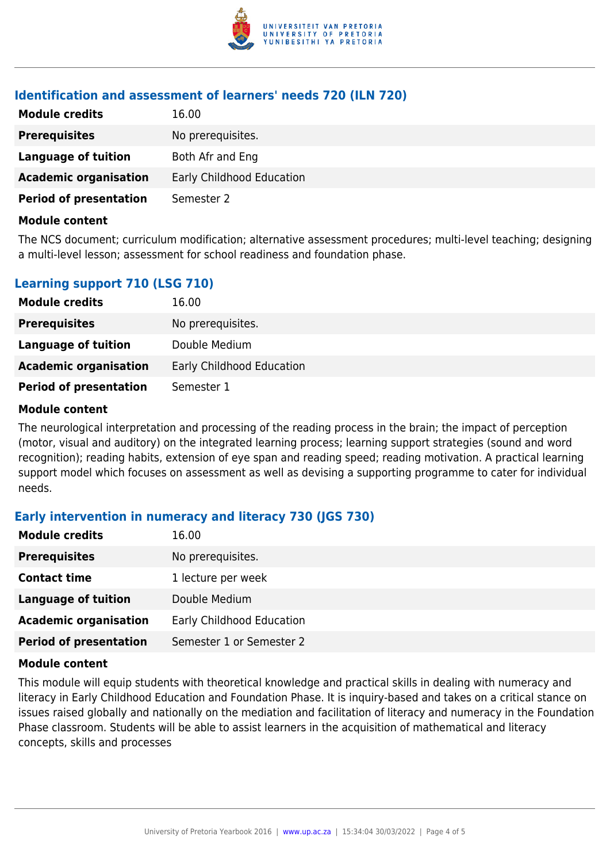

### **Identification and assessment of learners' needs 720 (ILN 720)**

| <b>Module credits</b>         | 16.00                     |
|-------------------------------|---------------------------|
| <b>Prerequisites</b>          | No prerequisites.         |
| Language of tuition           | Both Afr and Eng          |
| <b>Academic organisation</b>  | Early Childhood Education |
| <b>Period of presentation</b> | Semester 2                |

#### **Module content**

The NCS document; curriculum modification; alternative assessment procedures; multi-level teaching; designing a multi-level lesson; assessment for school readiness and foundation phase.

| <b>Learning support 710 (LSG 710)</b> |  |  |
|---------------------------------------|--|--|
|                                       |  |  |

| <b>Module credits</b>         | 16.00                     |
|-------------------------------|---------------------------|
| <b>Prerequisites</b>          | No prerequisites.         |
| Language of tuition           | Double Medium             |
| <b>Academic organisation</b>  | Early Childhood Education |
| <b>Period of presentation</b> | Semester 1                |

### **Module content**

The neurological interpretation and processing of the reading process in the brain; the impact of perception (motor, visual and auditory) on the integrated learning process; learning support strategies (sound and word recognition); reading habits, extension of eye span and reading speed; reading motivation. A practical learning support model which focuses on assessment as well as devising a supporting programme to cater for individual needs.

## **Early intervention in numeracy and literacy 730 (JGS 730)**

| <b>Module credits</b>         | 16.00                     |
|-------------------------------|---------------------------|
| <b>Prerequisites</b>          | No prerequisites.         |
| <b>Contact time</b>           | 1 lecture per week        |
| <b>Language of tuition</b>    | Double Medium             |
| <b>Academic organisation</b>  | Early Childhood Education |
| <b>Period of presentation</b> | Semester 1 or Semester 2  |

#### **Module content**

This module will equip students with theoretical knowledge and practical skills in dealing with numeracy and literacy in Early Childhood Education and Foundation Phase. It is inquiry-based and takes on a critical stance on issues raised globally and nationally on the mediation and facilitation of literacy and numeracy in the Foundation Phase classroom. Students will be able to assist learners in the acquisition of mathematical and literacy concepts, skills and processes